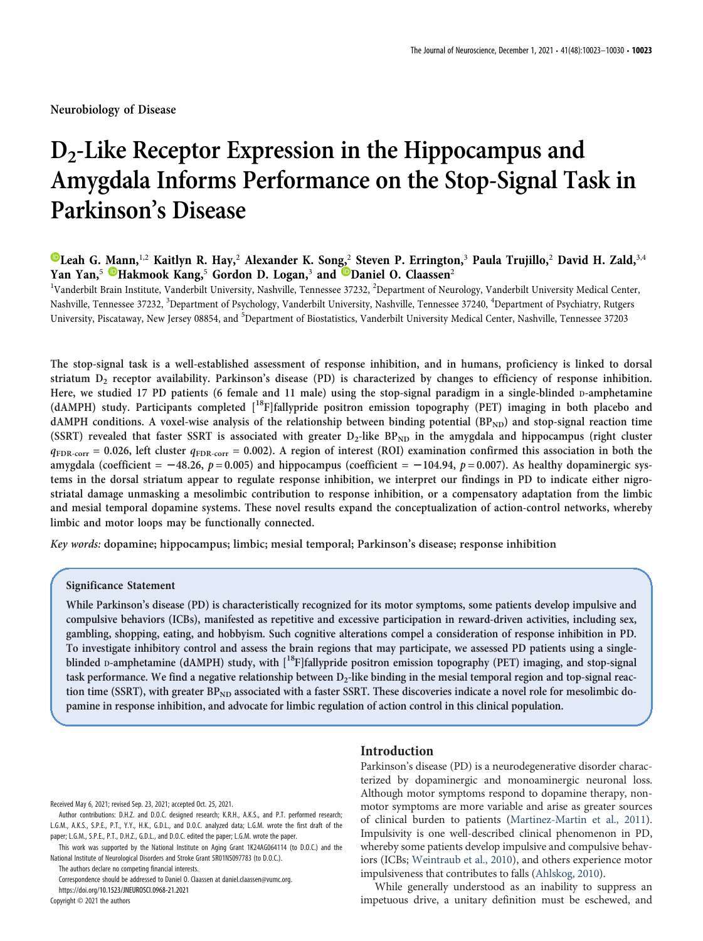Neurobiology of Disease

# $D_2$ -Like Receptor Expression in the Hippocampus and Amygdala Informs Performance on the Stop-Signal Task in Parkinson's Disease

# **D**[Leah G. Mann,](https://orcid.org/0000-0002-6877-4761)<sup>1,2</sup> Kaitlyn R. Hay,<sup>2</sup> Alexander K. Song,<sup>2</sup> Steven P. Errington,<sup>3</sup> Paula Trujillo,<sup>2</sup> David H. Zald,<sup>3,4</sup> Yan Yan,<sup>5</sup> [Hakmook Kang,](https://orcid.org/0000-0001-6876-4021)<sup>5</sup> Gordon D. Logan,<sup>3</sup> and [Daniel O. Claassen](https://orcid.org/0000-0002-9853-4902)<sup>2</sup>

<sup>1</sup>Vanderbilt Brain Institute, Vanderbilt University, Nashville, Tennessee 37232, <sup>2</sup>Department of Neurology, Vanderbilt University Medical Center, Nashville, Tennessee 37232, <sup>3</sup>Department of Psychology, Vanderbilt University, Nashville, Tennessee 37240, <sup>4</sup>Department of Psychiatry, Rutgers University, Piscataway, New Jersey 08854, and <sup>5</sup>Department of Biostatistics, Vanderbilt University Medical Center, Nashville, Tennessee 37203

The stop-signal task is a well-established assessment of response inhibition, and in humans, proficiency is linked to dorsal striatum  $D_2$  receptor availability. Parkinson's disease (PD) is characterized by changes to efficiency of response inhibition. Here, we studied 17 PD patients (6 female and 11 male) using the stop-signal paradigm in a single-blinded D-amphetamine (dAMPH) study. Participants completed [18F]fallypride positron emission topography (PET) imaging in both placebo and dAMPH conditions. A voxel-wise analysis of the relationship between binding potential (BP<sub>ND</sub>) and stop-signal reaction time (SSRT) revealed that faster SSRT is associated with greater  $D_2$ -like BP<sub>ND</sub> in the amygdala and hippocampus (right cluster  $q_{\text{FDR-corr}} = 0.026$ , left cluster  $q_{\text{FDR-corr}} = 0.002$ ). A region of interest (ROI) examination confirmed this association in both the amygdala (coefficient =  $-48.26$ ,  $p = 0.005$ ) and hippocampus (coefficient =  $-104.94$ ,  $p = 0.007$ ). As healthy dopaminergic systems in the dorsal striatum appear to regulate response inhibition, we interpret our findings in PD to indicate either nigrostriatal damage unmasking a mesolimbic contribution to response inhibition, or a compensatory adaptation from the limbic and mesial temporal dopamine systems. These novel results expand the conceptualization of action-control networks, whereby limbic and motor loops may be functionally connected.

Key words: dopamine; hippocampus; limbic; mesial temporal; Parkinson's disease; response inhibition

## Significance Statement

While Parkinson's disease (PD) is characteristically recognized for its motor symptoms, some patients develop impulsive and compulsive behaviors (ICBs), manifested as repetitive and excessive participation in reward-driven activities, including sex, gambling, shopping, eating, and hobbyism. Such cognitive alterations compel a consideration of response inhibition in PD. To investigate inhibitory control and assess the brain regions that may participate, we assessed PD patients using a singleblinded D-amphetamine (dAMPH) study, with  $[18F]$ fallypride positron emission topography (PET) imaging, and stop-signal task performance. We find a negative relationship between  $D_2$ -like binding in the mesial temporal region and top-signal reaction time (SSRT), with greater  $BP_{ND}$  associated with a faster SSRT. These discoveries indicate a novel role for mesolimbic dopamine in response inhibition, and advocate for limbic regulation of action control in this clinical population.

Received May 6, 2021; revised Sep. 23, 2021; accepted Oct. 25, 2021.

Author contributions: D.H.Z. and D.O.C. designed research; K.R.H., A.K.S., and P.T. performed research; L.G.M., A.K.S., S.P.E., P.T., Y.Y., H.K., G.D.L., and D.O.C. analyzed data; L.G.M. wrote the first draft of the paper; L.G.M., S.P.E., P.T., D.H.Z., G.D.L., and D.O.C. edited the paper; L.G.M. wrote the paper.

This work was supported by the National Institute on Aging Grant 1K24AG064114 (to D.O.C.) and the National Institute of Neurological Disorders and Stroke Grant 5R01NS097783 (to D.O.C.).

The authors declare no competing financial interests.

Correspondence should be addressed to Daniel O. Claassen at [daniel.claassen@vumc.org.](mailto:daniel.claassen@vumc.org) https://doi.org/10.1523/JNEUROSCI.0968-21.2021

Copyright © 2021 the authors

## Introduction

Parkinson's disease (PD) is a neurodegenerative disorder characterized by dopaminergic and monoaminergic neuronal loss. Although motor symptoms respond to dopamine therapy, nonmotor symptoms are more variable and arise as greater sources of clinical burden to patients ([Martinez-Martin et al., 2011\)](#page-6-0). Impulsivity is one well-described clinical phenomenon in PD, whereby some patients develop impulsive and compulsive behaviors (ICBs; [Weintraub et al., 2010](#page-7-0)), and others experience motor impulsiveness that contributes to falls ([Ahlskog, 2010\)](#page-6-1).

While generally understood as an inability to suppress an impetuous drive, a unitary definition must be eschewed, and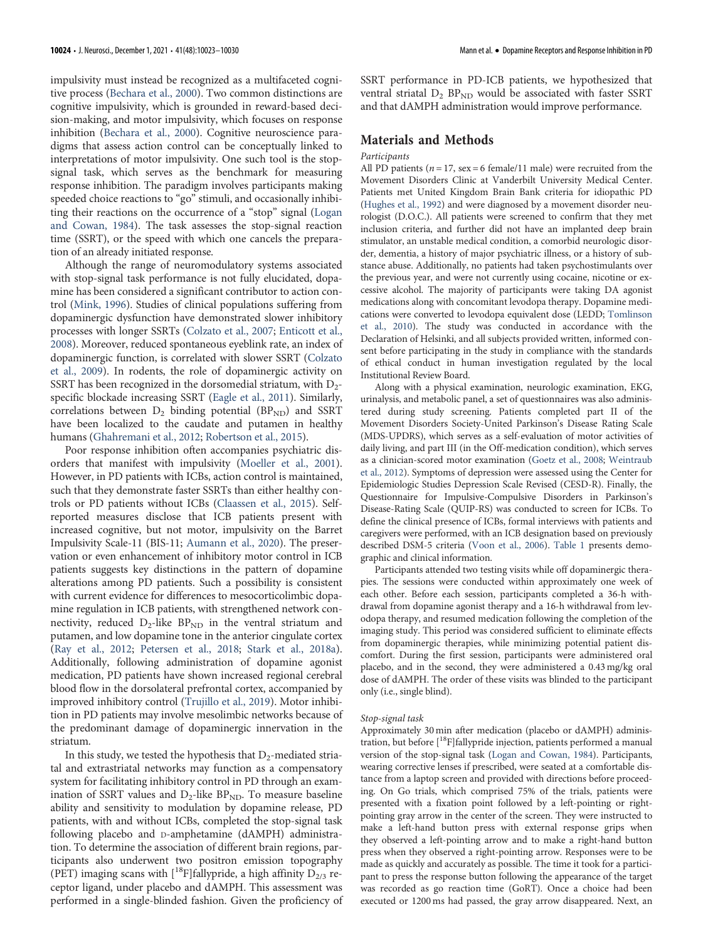impulsivity must instead be recognized as a multifaceted cognitive process [\(Bechara et al., 2000\)](#page-6-2). Two common distinctions are cognitive impulsivity, which is grounded in reward-based decision-making, and motor impulsivity, which focuses on response inhibition [\(Bechara et al., 2000](#page-6-2)). Cognitive neuroscience paradigms that assess action control can be conceptually linked to interpretations of motor impulsivity. One such tool is the stopsignal task, which serves as the benchmark for measuring response inhibition. The paradigm involves participants making speeded choice reactions to "go" stimuli, and occasionally inhibiting their reactions on the occurrence of a "stop" signal ([Logan](#page-6-3) [and Cowan, 1984\)](#page-6-3). The task assesses the stop-signal reaction time (SSRT), or the speed with which one cancels the preparation of an already initiated response.

Although the range of neuromodulatory systems associated with stop-signal task performance is not fully elucidated, dopamine has been considered a significant contributor to action control [\(Mink, 1996\)](#page-6-4). Studies of clinical populations suffering from dopaminergic dysfunction have demonstrated slower inhibitory processes with longer SSRTs [\(Colzato et al., 2007;](#page-6-5) [Enticott et al.,](#page-6-6) [2008\)](#page-6-6). Moreover, reduced spontaneous eyeblink rate, an index of dopaminergic function, is correlated with slower SSRT [\(Colzato](#page-6-7) [et al., 2009](#page-6-7)). In rodents, the role of dopaminergic activity on SSRT has been recognized in the dorsomedial striatum, with  $D_2$ specific blockade increasing SSRT ([Eagle et al., 2011](#page-6-8)). Similarly, correlations between  $D_2$  binding potential (BP<sub>ND</sub>) and SSRT have been localized to the caudate and putamen in healthy humans ([Ghahremani et al., 2012;](#page-6-9) [Robertson et al., 2015](#page-7-1)).

Poor response inhibition often accompanies psychiatric disorders that manifest with impulsivity [\(Moeller et al., 2001\)](#page-6-10). However, in PD patients with ICBs, action control is maintained, such that they demonstrate faster SSRTs than either healthy controls or PD patients without ICBs ([Claassen et al., 2015](#page-6-11)). Selfreported measures disclose that ICB patients present with increased cognitive, but not motor, impulsivity on the Barret Impulsivity Scale-11 (BIS-11; [Aumann et al., 2020\)](#page-6-12). The preservation or even enhancement of inhibitory motor control in ICB patients suggests key distinctions in the pattern of dopamine alterations among PD patients. Such a possibility is consistent with current evidence for differences to mesocorticolimbic dopamine regulation in ICB patients, with strengthened network connectivity, reduced  $D_2$ -like  $BP_{ND}$  in the ventral striatum and putamen, and low dopamine tone in the anterior cingulate cortex [\(Ray et al., 2012;](#page-7-2) [Petersen et al., 2018;](#page-7-3) [Stark et al., 2018a\)](#page-7-4). Additionally, following administration of dopamine agonist medication, PD patients have shown increased regional cerebral blood flow in the dorsolateral prefrontal cortex, accompanied by improved inhibitory control ([Trujillo et al., 2019\)](#page-7-5). Motor inhibition in PD patients may involve mesolimbic networks because of the predominant damage of dopaminergic innervation in the striatum.

In this study, we tested the hypothesis that  $D_2$ -mediated striatal and extrastriatal networks may function as a compensatory system for facilitating inhibitory control in PD through an examination of SSRT values and  $D_2$ -like BP<sub>ND</sub>. To measure baseline ability and sensitivity to modulation by dopamine release, PD patients, with and without ICBs, completed the stop-signal task following placebo and D-amphetamine (dAMPH) administration. To determine the association of different brain regions, participants also underwent two positron emission topography (PET) imaging scans with  $[$ <sup>18</sup>F]fallypride, a high affinity  $D_{2/3}$  receptor ligand, under placebo and dAMPH. This assessment was performed in a single-blinded fashion. Given the proficiency of SSRT performance in PD-ICB patients, we hypothesized that ventral striatal  $D_2$  BP<sub>ND</sub> would be associated with faster SSRT and that dAMPH administration would improve performance.

## Materials and Methods

#### Participants

All PD patients ( $n = 17$ , sex = 6 female/11 male) were recruited from the Movement Disorders Clinic at Vanderbilt University Medical Center. Patients met United Kingdom Brain Bank criteria for idiopathic PD ([Hughes et al., 1992](#page-6-13)) and were diagnosed by a movement disorder neurologist (D.O.C.). All patients were screened to confirm that they met inclusion criteria, and further did not have an implanted deep brain stimulator, an unstable medical condition, a comorbid neurologic disorder, dementia, a history of major psychiatric illness, or a history of substance abuse. Additionally, no patients had taken psychostimulants over the previous year, and were not currently using cocaine, nicotine or excessive alcohol. The majority of participants were taking DA agonist medications along with concomitant levodopa therapy. Dopamine medications were converted to levodopa equivalent dose (LEDD; [Tomlinson](#page-7-6) [et al., 2010](#page-7-6)). The study was conducted in accordance with the Declaration of Helsinki, and all subjects provided written, informed consent before participating in the study in compliance with the standards of ethical conduct in human investigation regulated by the local Institutional Review Board.

Along with a physical examination, neurologic examination, EKG, urinalysis, and metabolic panel, a set of questionnaires was also administered during study screening. Patients completed part II of the Movement Disorders Society-United Parkinson's Disease Rating Scale (MDS-UPDRS), which serves as a self-evaluation of motor activities of daily living, and part III (in the Off-medication condition), which serves as a clinician-scored motor examination ([Goetz et al., 2008](#page-6-14); [Weintraub](#page-7-7) [et al., 2012\)](#page-7-7). Symptoms of depression were assessed using the Center for Epidemiologic Studies Depression Scale Revised (CESD-R). Finally, the Questionnaire for Impulsive-Compulsive Disorders in Parkinson's Disease-Rating Scale (QUIP-RS) was conducted to screen for ICBs. To define the clinical presence of ICBs, formal interviews with patients and caregivers were performed, with an ICB designation based on previously described DSM-5 criteria ([Voon et al., 2006\)](#page-7-8). [Table 1](#page-2-0) presents demographic and clinical information.

Participants attended two testing visits while off dopaminergic therapies. The sessions were conducted within approximately one week of each other. Before each session, participants completed a 36-h withdrawal from dopamine agonist therapy and a 16-h withdrawal from levodopa therapy, and resumed medication following the completion of the imaging study. This period was considered sufficient to eliminate effects from dopaminergic therapies, while minimizing potential patient discomfort. During the first session, participants were administered oral placebo, and in the second, they were administered a 0.43 mg/kg oral dose of dAMPH. The order of these visits was blinded to the participant only (i.e., single blind).

#### Stop-signal task

Approximately 30 min after medication (placebo or dAMPH) administration, but before [<sup>18</sup>F]fallypride injection, patients performed a manual version of the stop-signal task [\(Logan and Cowan, 1984](#page-6-3)). Participants, wearing corrective lenses if prescribed, were seated at a comfortable distance from a laptop screen and provided with directions before proceeding. On Go trials, which comprised 75% of the trials, patients were presented with a fixation point followed by a left-pointing or rightpointing gray arrow in the center of the screen. They were instructed to make a left-hand button press with external response grips when they observed a left-pointing arrow and to make a right-hand button press when they observed a right-pointing arrow. Responses were to be made as quickly and accurately as possible. The time it took for a participant to press the response button following the appearance of the target was recorded as go reaction time (GoRT). Once a choice had been executed or 1200 ms had passed, the gray arrow disappeared. Next, an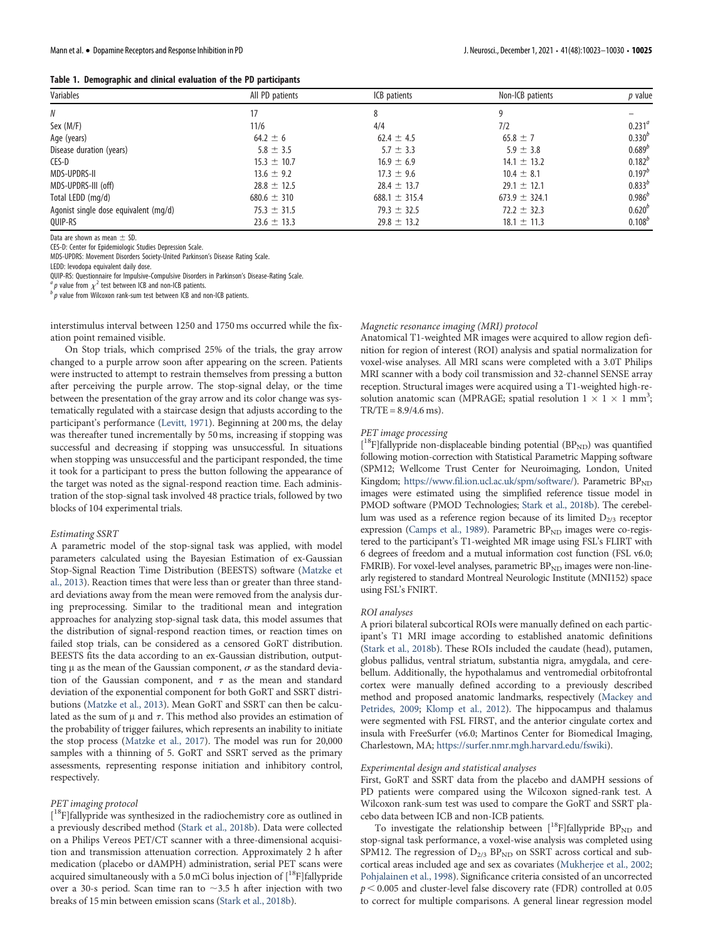|  | Table 1. Demographic and clinical evaluation of the PD participants |  |  |  |  |  |
|--|---------------------------------------------------------------------|--|--|--|--|--|
|--|---------------------------------------------------------------------|--|--|--|--|--|

| Variables                             | All PD patients | ICB patients      | Non-ICB patients  | <i>p</i> value |
|---------------------------------------|-----------------|-------------------|-------------------|----------------|
| N                                     |                 | 8                 | 9                 |                |
| Sex (M/F)                             | 11/6            | 4/4               | 7/2               | $0.231^{a}$    |
| Age (years)                           | $64.2 \pm 6$    | $62.4 \pm 4.5$    | $65.8 \pm 7$      | $0.330^{b}$    |
| Disease duration (years)              | $5.8 \pm 3.5$   | $5.7 \pm 3.3$     | $5.9 \pm 3.8$     | $0.689^{b}$    |
| CES-D                                 | $15.3 \pm 10.7$ | $16.9 \pm 6.9$    | $14.1 \pm 13.2$   | $0.182^{b}$    |
| MDS-UPDRS-II                          | $13.6 \pm 9.2$  | $17.3 \pm 9.6$    | $10.4 \pm 8.1$    | $0.197^{b}$    |
| MDS-UPDRS-III (off)                   | $28.8 \pm 12.5$ | $28.4 \pm 13.7$   | $29.1 \pm 12.1$   | $0.833^{b}$    |
| Total LEDD (mg/d)                     | $680.6 \pm 310$ | $688.1 \pm 315.4$ | $673.9 \pm 324.1$ | $0.986^{b}$    |
| Agonist single dose equivalent (mg/d) | $75.3 \pm 31.5$ | $79.3 \pm 32.5$   | $72.2 \pm 32.3$   | $0.620^{o}$    |
| QUIP-RS                               | $23.6 \pm 13.3$ | $29.8 \pm 13.2$   | $18.1 \pm 11.3$   | $0.108^{b}$    |

Data are shown as mean  $\pm$  SD.

CES-D: Center for Epidemiologic Studies Depression Scale.

MDS-UPDRS: Movement Disorders Society-United Parkinson's Disease Rating Scale.

LEDD: levodopa equivalent daily dose. QUIP-RS: Questionnaire for Impulsive-Compulsive Disorders in Parkinson's Disease-Rating Scale.

<span id="page-2-0"></span> ${}^ap$  value from  $\chi^2$  test between ICB and non-ICB patients.

 $\overline{p}^b$  value from Wilcoxon rank-sum test between ICB and non-ICB patients.

interstimulus interval between 1250 and 1750 ms occurred while the fixation point remained visible.

On Stop trials, which comprised 25% of the trials, the gray arrow changed to a purple arrow soon after appearing on the screen. Patients were instructed to attempt to restrain themselves from pressing a button after perceiving the purple arrow. The stop-signal delay, or the time between the presentation of the gray arrow and its color change was systematically regulated with a staircase design that adjusts according to the participant's performance [\(Levitt, 1971\)](#page-6-15). Beginning at 200 ms, the delay was thereafter tuned incrementally by 50 ms, increasing if stopping was successful and decreasing if stopping was unsuccessful. In situations when stopping was unsuccessful and the participant responded, the time it took for a participant to press the button following the appearance of the target was noted as the signal-respond reaction time. Each administration of the stop-signal task involved 48 practice trials, followed by two blocks of 104 experimental trials.

#### Estimating SSRT

A parametric model of the stop-signal task was applied, with model parameters calculated using the Bayesian Estimation of ex-Gaussian Stop-Signal Reaction Time Distribution (BEESTS) software [\(Matzke et](#page-6-16) [al., 2013\)](#page-6-16). Reaction times that were less than or greater than three standard deviations away from the mean were removed from the analysis during preprocessing. Similar to the traditional mean and integration approaches for analyzing stop-signal task data, this model assumes that the distribution of signal-respond reaction times, or reaction times on failed stop trials, can be considered as a censored GoRT distribution. BEESTS fits the data according to an ex-Gaussian distribution, outputting  $\mu$  as the mean of the Gaussian component,  $\sigma$  as the standard deviation of the Gaussian component, and  $\tau$  as the mean and standard deviation of the exponential component for both GoRT and SSRT distributions [\(Matzke et al., 2013\)](#page-6-16). Mean GoRT and SSRT can then be calculated as the sum of  $\mu$  and  $\tau$ . This method also provides an estimation of the probability of trigger failures, which represents an inability to initiate the stop process [\(Matzke et al., 2017](#page-6-17)). The model was run for 20,000 samples with a thinning of 5. GoRT and SSRT served as the primary assessments, representing response initiation and inhibitory control, respectively.

#### PET imaging protocol

[<sup>18</sup>F]fallypride was synthesized in the radiochemistry core as outlined in a previously described method [\(Stark et al., 2018b\)](#page-7-9). Data were collected on a Philips Vereos PET/CT scanner with a three-dimensional acquisition and transmission attenuation correction. Approximately 2 h after medication (placebo or dAMPH) administration, serial PET scans were acquired simultaneously with a 5.0 mCi bolus injection of  $[^{18}F]$ fallypride over a 30-s period. Scan time ran to  $\sim$ 3.5 h after injection with two breaks of 15 min between emission scans [\(Stark et al., 2018b\)](#page-7-9).

#### Magnetic resonance imaging (MRI) protocol

Anatomical T1-weighted MR images were acquired to allow region definition for region of interest (ROI) analysis and spatial normalization for voxel-wise analyses. All MRI scans were completed with a 3.0T Philips MRI scanner with a body coil transmission and 32-channel SENSE array reception. Structural images were acquired using a T1-weighted high-resolution anatomic scan (MPRAGE; spatial resolution  $1 \times 1 \times 1$  mm<sup>3</sup>;  $TR/TE = 8.9/4.6$  ms).

#### PET image processing

[<sup>18</sup>F]fallypride non-displaceable binding potential (BP<sub>ND</sub>) was quantified following motion-correction with Statistical Parametric Mapping software (SPM12; Wellcome Trust Center for Neuroimaging, London, United Kingdom; <https://www.fil.ion.ucl.ac.uk/spm/software/>). Parametric BP<sub>ND</sub> images were estimated using the simplified reference tissue model in PMOD software (PMOD Technologies; [Stark et al., 2018b](#page-7-9)). The cerebellum was used as a reference region because of its limited  $D_{2/3}$  receptor expression [\(Camps et al., 1989\)](#page-6-18). Parametric  $BP_{ND}$  images were co-registered to the participant's T1-weighted MR image using FSL's FLIRT with 6 degrees of freedom and a mutual information cost function (FSL v6.0; FMRIB). For voxel-level analyses, parametric BP<sub>ND</sub> images were non-linearly registered to standard Montreal Neurologic Institute (MNI152) space using FSL's FNIRT.

#### ROI analyses

A priori bilateral subcortical ROIs were manually defined on each participant's T1 MRI image according to established anatomic definitions ([Stark et al., 2018b](#page-7-9)). These ROIs included the caudate (head), putamen, globus pallidus, ventral striatum, substantia nigra, amygdala, and cerebellum. Additionally, the hypothalamus and ventromedial orbitofrontal cortex were manually defined according to a previously described method and proposed anatomic landmarks, respectively ([Mackey and](#page-6-19) [Petrides, 2009;](#page-6-19) [Klomp et al., 2012\)](#page-6-20). The hippocampus and thalamus were segmented with FSL FIRST, and the anterior cingulate cortex and insula with FreeSurfer (v6.0; Martinos Center for Biomedical Imaging, Charlestown, MA; <https://surfer.nmr.mgh.harvard.edu/fswiki>).

#### Experimental design and statistical analyses

First, GoRT and SSRT data from the placebo and dAMPH sessions of PD patients were compared using the Wilcoxon signed-rank test. A Wilcoxon rank-sum test was used to compare the GoRT and SSRT placebo data between ICB and non-ICB patients.

To investigate the relationship between  $[{}^{18}F]$ fallypride BP<sub>ND</sub> and stop-signal task performance, a voxel-wise analysis was completed using SPM12. The regression of  $D_{2/3}$  BP<sub>ND</sub> on SSRT across cortical and subcortical areas included age and sex as covariates [\(Mukherjee et al., 2002](#page-7-10); [Pohjalainen et al., 1998\)](#page-7-11). Significance criteria consisted of an uncorrected  $p < 0.005$  and cluster-level false discovery rate (FDR) controlled at 0.05 to correct for multiple comparisons. A general linear regression model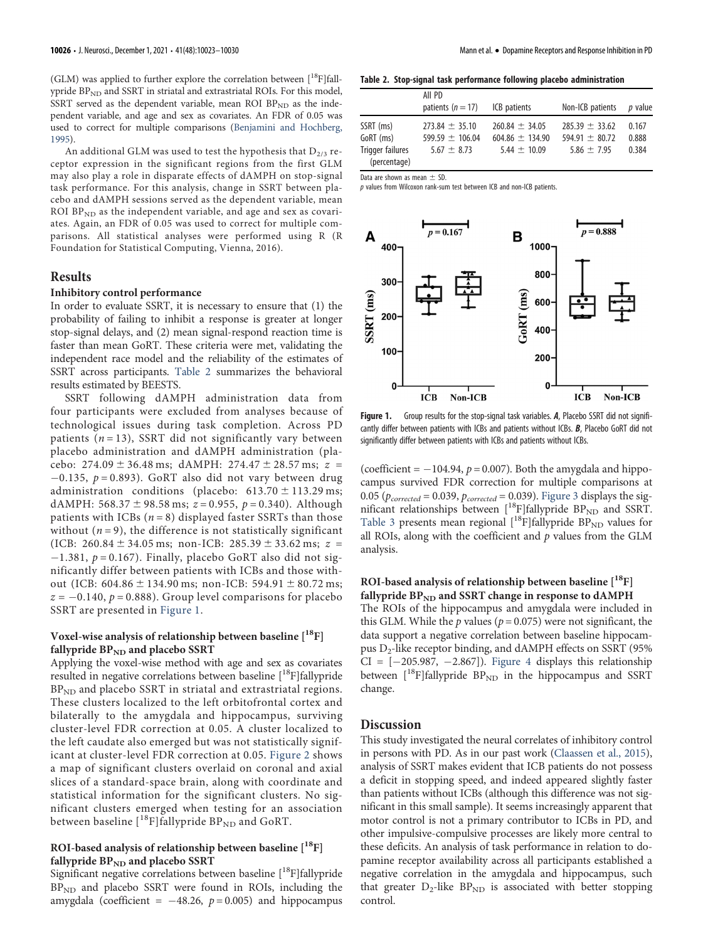(GLM) was applied to further explore the correlation between  $[{}^{18}F]$ fallypride BP<sub>ND</sub> and SSRT in striatal and extrastriatal ROIs. For this model, SSRT served as the dependent variable, mean ROI  $BP_{ND}$  as the independent variable, and age and sex as covariates. An FDR of 0.05 was used to correct for multiple comparisons ([Benjamini and Hochberg,](#page-6-21) [1995](#page-6-21)).

An additional GLM was used to test the hypothesis that  $D_{2/3}$  receptor expression in the significant regions from the first GLM may also play a role in disparate effects of dAMPH on stop-signal task performance. For this analysis, change in SSRT between placebo and dAMPH sessions served as the dependent variable, mean ROI  $BP_{ND}$  as the independent variable, and age and sex as covariates. Again, an FDR of 0.05 was used to correct for multiple comparisons. All statistical analyses were performed using R (R Foundation for Statistical Computing, Vienna, 2016).

# Results

#### Inhibitory control performance

In order to evaluate SSRT, it is necessary to ensure that (1) the probability of failing to inhibit a response is greater at longer stop-signal delays, and (2) mean signal-respond reaction time is faster than mean GoRT. These criteria were met, validating the independent race model and the reliability of the estimates of SSRT across participants. [Table 2](#page-3-0) summarizes the behavioral results estimated by BEESTS.

SSRT following dAMPH administration data from four participants were excluded from analyses because of technological issues during task completion. Across PD patients ( $n = 13$ ), SSRT did not significantly vary between placebo administration and dAMPH administration (placebo:  $274.09 \pm 36.48$  ms; dAMPH:  $274.47 \pm 28.57$  ms;  $z =$  $-0.135$ ,  $p = 0.893$ ). GoRT also did not vary between drug administration conditions (placebo:  $613.70 \pm 113.29 \text{ ms}$ ; dAMPH: 568.37  $\pm$  98.58 ms;  $z = 0.955$ ,  $p = 0.340$ ). Although patients with ICBs  $(n = 8)$  displayed faster SSRTs than those without  $(n = 9)$ , the difference is not statistically significant (ICB: 260.84  $\pm$  34.05 ms; non-ICB: 285.39  $\pm$  33.62 ms;  $z =$  $-1.381$ ,  $p = 0.167$ ). Finally, placebo GoRT also did not significantly differ between patients with ICBs and those without (ICB:  $604.86 \pm 134.90$  ms; non-ICB:  $594.91 \pm 80.72$  ms;  $z = -0.140$ ,  $p = 0.888$ ). Group level comparisons for placebo SSRT are presented in [Figure 1.](#page-3-1)

## Voxel-wise analysis of relationship between baseline [<sup>18</sup>F] fallypride  $BP_{ND}$  and placebo SSRT

Applying the voxel-wise method with age and sex as covariates resulted in negative correlations between baseline [<sup>18</sup>F]fallypride  $BP<sub>ND</sub>$  and placebo SSRT in striatal and extrastriatal regions. These clusters localized to the left orbitofrontal cortex and bilaterally to the amygdala and hippocampus, surviving cluster-level FDR correction at 0.05. A cluster localized to the left caudate also emerged but was not statistically significant at cluster-level FDR correction at 0.05. [Figure 2](#page-4-0) shows a map of significant clusters overlaid on coronal and axial slices of a standard-space brain, along with coordinate and statistical information for the significant clusters. No significant clusters emerged when testing for an association between baseline  $[$ <sup>18</sup>F]fallypride BP<sub>ND</sub> and GoRT.

## ROI-based analysis of relationship between baseline  $[$ <sup>18</sup>F] fallypride  $BP_{ND}$  and placebo SSRT

Significant negative correlations between baseline [<sup>18</sup>F]fallypride  $BP<sub>ND</sub>$  and placebo SSRT were found in ROIs, including the amygdala (coefficient =  $-48.26$ ,  $p = 0.005$ ) and hippocampus

Table 2. Stop-signal task performance following placebo administration

|                                  | All PD              |                     |                    |         |
|----------------------------------|---------------------|---------------------|--------------------|---------|
|                                  | patients $(n = 17)$ | ICB patients        | Non-ICB patients   | p value |
| SSRT (ms)                        | $273.84 \pm 35.10$  | $260.84 \pm 34.05$  | $285.39 \pm 33.62$ | 0.167   |
| GoRT (ms)                        | 599.59 $\pm$ 106.04 | $604.86 \pm 134.90$ | $594.91 + 80.72$   | 0.888   |
| Trigger failures<br>(percentage) | $5.67 \pm 8.73$     | $5.44 + 10.09$      | 5.86 $\pm$ 7.95    | 0.384   |

Data are shown as mean  $\pm$  SD.

<span id="page-3-0"></span>p values from Wilcoxon rank-sum test between ICB and non-ICB patients.



<span id="page-3-1"></span>Figure 1. Group results for the stop-signal task variables. A, Placebo SSRT did not significantly differ between patients with ICBs and patients without ICBs. **B**, Placebo GoRT did not significantly differ between patients with ICBs and patients without ICBs.

(coefficient =  $-104.94$ ,  $p = 0.007$ ). Both the amygdala and hippocampus survived FDR correction for multiple comparisons at 0.05 ( $p_{corrected} = 0.039$ ,  $p_{corrected} = 0.039$ ). [Figure 3](#page-4-1) displays the significant relationships between  $[$ <sup>18</sup>F]fallypride BP<sub>ND</sub> and SSRT. [Table 3](#page-5-0) presents mean regional  $[$ <sup>18</sup>F]fallypride BP<sub>ND</sub> values for all ROIs, along with the coefficient and  $p$  values from the GLM analysis.

# ROI-based analysis of relationship between baseline  $[$ <sup>18</sup>F] fallypride  $BP_{ND}$  and SSRT change in response to dAMPH

The ROIs of the hippocampus and amygdala were included in this GLM. While the  $p$  values ( $p = 0.075$ ) were not significant, the data support a negative correlation between baseline hippocampus  $D_2$ -like receptor binding, and dAMPH effects on SSRT (95%)  $CI = [-205.987, -2.867]$ . [Figure 4](#page-5-1) displays this relationship between  $[$ <sup>18</sup>F]fallypride BP<sub>ND</sub> in the hippocampus and SSRT change.

## Discussion

This study investigated the neural correlates of inhibitory control in persons with PD. As in our past work [\(Claassen et al., 2015\)](#page-6-11), analysis of SSRT makes evident that ICB patients do not possess a deficit in stopping speed, and indeed appeared slightly faster than patients without ICBs (although this difference was not significant in this small sample). It seems increasingly apparent that motor control is not a primary contributor to ICBs in PD, and other impulsive-compulsive processes are likely more central to these deficits. An analysis of task performance in relation to dopamine receptor availability across all participants established a negative correlation in the amygdala and hippocampus, such that greater  $D_2$ -like  $BP_{ND}$  is associated with better stopping control.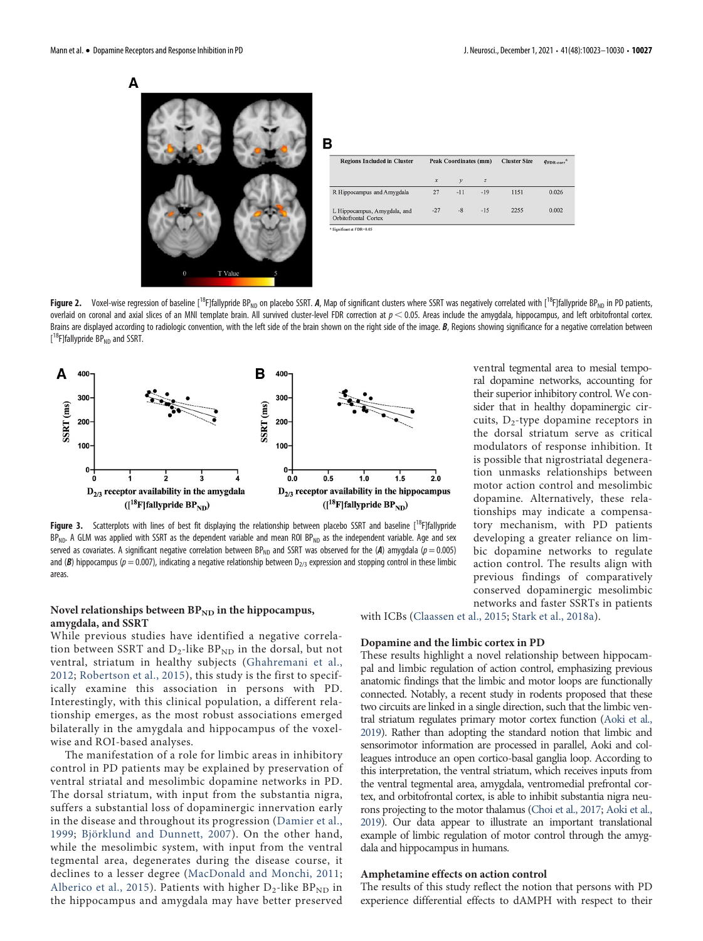



| B |                                                      |                              |               |                     |                                  |       |
|---|------------------------------------------------------|------------------------------|---------------|---------------------|----------------------------------|-------|
|   | <b>Regions Included in Cluster</b>                   | <b>Peak Coordinates (mm)</b> |               | <b>Cluster Size</b> | $q_{\text{FDR-corr}}^{\text{a}}$ |       |
|   |                                                      | $\mathbf x$                  | $\mathcal{V}$ | $\overline{z}$      |                                  |       |
|   | R Hippocampus and Amygdala                           | 27                           | $-11$         | $-19$               | 1151                             | 0.026 |
|   | L Hippocampus, Amygdala, and<br>Orbitofrontal Cortex | $-27$                        | $-8$          | $-15$               | 2255                             | 0.002 |

 $at$  at  $FDR=0.0$ 

<span id="page-4-0"></span>Figure 2. Voxel-wise regression of baseline [<sup>18</sup>F]fallypride BP<sub>ND</sub> on placebo SSRT. A, Map of significant clusters where SSRT was negatively correlated with [<sup>18</sup>F]fallypride BP<sub>ND</sub> in PD patients, overlaid on coronal and axial slices of an MNI template brain. All survived cluster-level FDR correction at  $p < 0.05$ . Areas include the amygdala, hippocampus, and left orbitofrontal cortex. Brains are displayed according to radiologic convention, with the left side of the brain shown on the right side of the image. B, Regions showing significance for a negative correlation between [<sup>18</sup>F]fallypride BP<sub>ND</sub> and SSRT.



<span id="page-4-1"></span>**Figure 3.** Scatterplots with lines of best fit displaying the relationship between placebo SSRT and baseline  $[18F]$ fallypride  $BP_{ND}$ . A GLM was applied with SSRT as the dependent variable and mean ROI  $BP_{ND}$  as the independent variable. Age and sex served as covariates. A significant negative correlation between BP<sub>ND</sub> and SSRT was observed for the (A) amygdala ( $p = 0.005$ ) and (B) hippocampus (p = 0.007), indicating a negative relationship between  $D_{2/3}$  expression and stopping control in these limbic areas.

# Novel relationships between  $BP_{ND}$  in the hippocampus, amygdala, and SSRT

While previous studies have identified a negative correlation between SSRT and  $D_2$ -like BP<sub>ND</sub> in the dorsal, but not ventral, striatum in healthy subjects ([Ghahremani et al.,](#page-6-9) [2012](#page-6-9); [Robertson et al., 2015](#page-7-1)), this study is the first to specifically examine this association in persons with PD. Interestingly, with this clinical population, a different relationship emerges, as the most robust associations emerged bilaterally in the amygdala and hippocampus of the voxelwise and ROI-based analyses.

The manifestation of a role for limbic areas in inhibitory control in PD patients may be explained by preservation of ventral striatal and mesolimbic dopamine networks in PD. The dorsal striatum, with input from the substantia nigra, suffers a substantial loss of dopaminergic innervation early in the disease and throughout its progression ([Damier et al.,](#page-6-22) [1999](#page-6-22); [Björklund and Dunnett, 2007\)](#page-6-23). On the other hand, while the mesolimbic system, with input from the ventral tegmental area, degenerates during the disease course, it declines to a lesser degree ([MacDonald and Monchi, 2011;](#page-6-24) [Alberico et al., 2015](#page-6-25)). Patients with higher  $D_2$ -like BP<sub>ND</sub> in the hippocampus and amygdala may have better preserved

with ICBs [\(Claassen et al., 2015;](#page-6-11) [Stark et al., 2018a\)](#page-7-4).

#### Dopamine and the limbic cortex in PD

These results highlight a novel relationship between hippocampal and limbic regulation of action control, emphasizing previous anatomic findings that the limbic and motor loops are functionally connected. Notably, a recent study in rodents proposed that these two circuits are linked in a single direction, such that the limbic ventral striatum regulates primary motor cortex function ([Aoki et al.,](#page-6-26) [2019](#page-6-26)). Rather than adopting the standard notion that limbic and sensorimotor information are processed in parallel, Aoki and colleagues introduce an open cortico-basal ganglia loop. According to this interpretation, the ventral striatum, which receives inputs from the ventral tegmental area, amygdala, ventromedial prefrontal cortex, and orbitofrontal cortex, is able to inhibit substantia nigra neurons projecting to the motor thalamus [\(Choi et al., 2017](#page-6-27); [Aoki et al.,](#page-6-26) [2019](#page-6-26)). Our data appear to illustrate an important translational example of limbic regulation of motor control through the amygdala and hippocampus in humans.

#### Amphetamine effects on action control

The results of this study reflect the notion that persons with PD experience differential effects to dAMPH with respect to their

ventral tegmental area to mesial temporal dopamine networks, accounting for their superior inhibitory control. We consider that in healthy dopaminergic circuits,  $D_2$ -type dopamine receptors in the dorsal striatum serve as critical modulators of response inhibition. It is possible that nigrostriatal degeneration unmasks relationships between motor action control and mesolimbic dopamine. Alternatively, these relationships may indicate a compensatory mechanism, with PD patients developing a greater reliance on limbic dopamine networks to regulate action control. The results align with previous findings of comparatively conserved dopaminergic mesolimbic networks and faster SSRTs in patients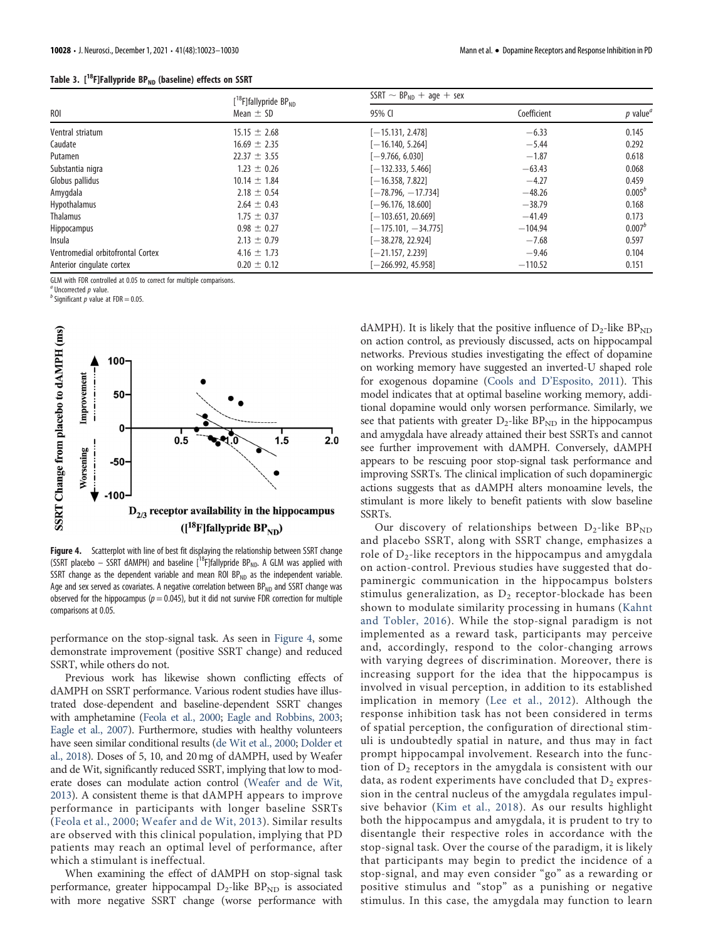|  | Table 3. [ <sup>18</sup> F]Fallypride BP <sub>ND</sub> (baseline) effects on SSRT |  |  |  |  |
|--|-----------------------------------------------------------------------------------|--|--|--|--|
|--|-----------------------------------------------------------------------------------|--|--|--|--|

|                                   | $[$ <sup>18</sup> F]fallypride BP <sub>ND</sub> | $SSRT \sim BP_{ND} + age + sex$ |             |                                     |  |
|-----------------------------------|-------------------------------------------------|---------------------------------|-------------|-------------------------------------|--|
| R <sub>O</sub> I                  | Mean $\pm$ SD                                   | 95% CI                          | Coefficient | $p$ value <sup><math>a</math></sup> |  |
| Ventral striatum                  | $15.15 \pm 2.68$                                | $[-15.131, 2.478]$              | $-6.33$     | 0.145                               |  |
| Caudate                           | $16.69 \pm 2.35$                                | $[-16.140, 5.264]$              | $-5.44$     | 0.292                               |  |
| Putamen                           | $22.37 \pm 3.55$                                | $[-9.766, 6.030]$               | $-1.87$     | 0.618                               |  |
| Substantia nigra                  | $1.23 \pm 0.26$                                 | $[-132.333, 5.466]$             | $-63.43$    | 0.068                               |  |
| Globus pallidus                   | $10.14 \pm 1.84$                                | $[-16.358, 7.822]$              | $-4.27$     | 0.459                               |  |
| Amygdala                          | $2.18 \pm 0.54$                                 | $[-78.796, -17.734]$            | $-48.26$    | $0.005^{b}$                         |  |
| Hypothalamus                      | $2.64 \pm 0.43$                                 | $[-96.176, 18.600]$             | $-38.79$    | 0.168                               |  |
| <b>Thalamus</b>                   | $1.75 \pm 0.37$                                 | $[-103.651, 20.669]$            | $-41.49$    | 0.173                               |  |
| Hippocampus                       | $0.98 \pm 0.27$                                 | $[-175.101, -34.775]$           | $-104.94$   | $0.007^{b}$                         |  |
| Insula                            | $2.13 \pm 0.79$                                 | $-38.278, 22.924$               | $-7.68$     | 0.597                               |  |
| Ventromedial orbitofrontal Cortex | $4.16 \pm 1.73$                                 | $[-21.157, 2.239]$              | $-9.46$     | 0.104                               |  |
| Anterior cingulate cortex         | $0.20 \pm 0.12$                                 | $[-266.992, 45.958]$            | $-110.52$   | 0.151                               |  |

<span id="page-5-0"></span>GLM with FDR controlled at 0.05 to correct for multiple comparisons.

<sup>2</sup> Uncorrected *n* value.

 $^a$ Uncorrected  $p$  value.<br> $^b$  Significant  $p$  value at FDR = 0.05.



<span id="page-5-1"></span>Figure 4. Scatterplot with line of best fit displaying the relationship between SSRT change (SSRT placebo – SSRT dAMPH) and baseline  $[18F]$ fallypride BP<sub>ND</sub>. A GLM was applied with SSRT change as the dependent variable and mean ROI  $BP_{ND}$  as the independent variable. Age and sex served as covariates. A negative correlation between  $BP_{ND}$  and SSRT change was observed for the hippocampus ( $p = 0.045$ ), but it did not survive FDR correction for multiple comparisons at 0.05.

performance on the stop-signal task. As seen in [Figure 4,](#page-5-1) some demonstrate improvement (positive SSRT change) and reduced SSRT, while others do not.

Previous work has likewise shown conflicting effects of dAMPH on SSRT performance. Various rodent studies have illustrated dose-dependent and baseline-dependent SSRT changes with amphetamine [\(Feola et al., 2000;](#page-6-28) [Eagle and Robbins, 2003;](#page-6-29) [Eagle et al., 2007\)](#page-6-30). Furthermore, studies with healthy volunteers have seen similar conditional results ([de Wit et al., 2000;](#page-6-31) [Dolder et](#page-6-32) [al., 2018\)](#page-6-32). Doses of 5, 10, and 20 mg of dAMPH, used by Weafer and de Wit, significantly reduced SSRT, implying that low to moderate doses can modulate action control [\(Weafer and de Wit,](#page-7-12) [2013\)](#page-7-12). A consistent theme is that dAMPH appears to improve performance in participants with longer baseline SSRTs ([Feola et al., 2000](#page-6-28); [Weafer and de Wit, 2013](#page-7-12)). Similar results are observed with this clinical population, implying that PD patients may reach an optimal level of performance, after which a stimulant is ineffectual.

When examining the effect of dAMPH on stop-signal task performance, greater hippocampal  $D_2$ -like  $BP_{ND}$  is associated with more negative SSRT change (worse performance with

dAMPH). It is likely that the positive influence of  $D_2$ -like  $BP_{ND}$ on action control, as previously discussed, acts on hippocampal networks. Previous studies investigating the effect of dopamine on working memory have suggested an inverted-U shaped role for exogenous dopamine (Cools and D'[Esposito, 2011](#page-6-33)). This model indicates that at optimal baseline working memory, additional dopamine would only worsen performance. Similarly, we see that patients with greater  $D_2$ -like  $BP_{ND}$  in the hippocampus and amygdala have already attained their best SSRTs and cannot see further improvement with dAMPH. Conversely, dAMPH appears to be rescuing poor stop-signal task performance and improving SSRTs. The clinical implication of such dopaminergic actions suggests that as dAMPH alters monoamine levels, the stimulant is more likely to benefit patients with slow baseline SSRTs.

Our discovery of relationships between  $D_2$ -like BP<sub>ND</sub> and placebo SSRT, along with SSRT change, emphasizes a role of  $D_2$ -like receptors in the hippocampus and amygdala on action-control. Previous studies have suggested that dopaminergic communication in the hippocampus bolsters stimulus generalization, as  $D_2$  receptor-blockade has been shown to modulate similarity processing in humans ([Kahnt](#page-6-34) [and Tobler, 2016](#page-6-34)). While the stop-signal paradigm is not implemented as a reward task, participants may perceive and, accordingly, respond to the color-changing arrows with varying degrees of discrimination. Moreover, there is increasing support for the idea that the hippocampus is involved in visual perception, in addition to its established implication in memory ([Lee et al., 2012\)](#page-6-35). Although the response inhibition task has not been considered in terms of spatial perception, the configuration of directional stimuli is undoubtedly spatial in nature, and thus may in fact prompt hippocampal involvement. Research into the function of  $D_2$  receptors in the amygdala is consistent with our data, as rodent experiments have concluded that  $D_2$  expression in the central nucleus of the amygdala regulates impulsive behavior ([Kim et al., 2018\)](#page-6-36). As our results highlight both the hippocampus and amygdala, it is prudent to try to disentangle their respective roles in accordance with the stop-signal task. Over the course of the paradigm, it is likely that participants may begin to predict the incidence of a stop-signal, and may even consider "go" as a rewarding or positive stimulus and "stop" as a punishing or negative stimulus. In this case, the amygdala may function to learn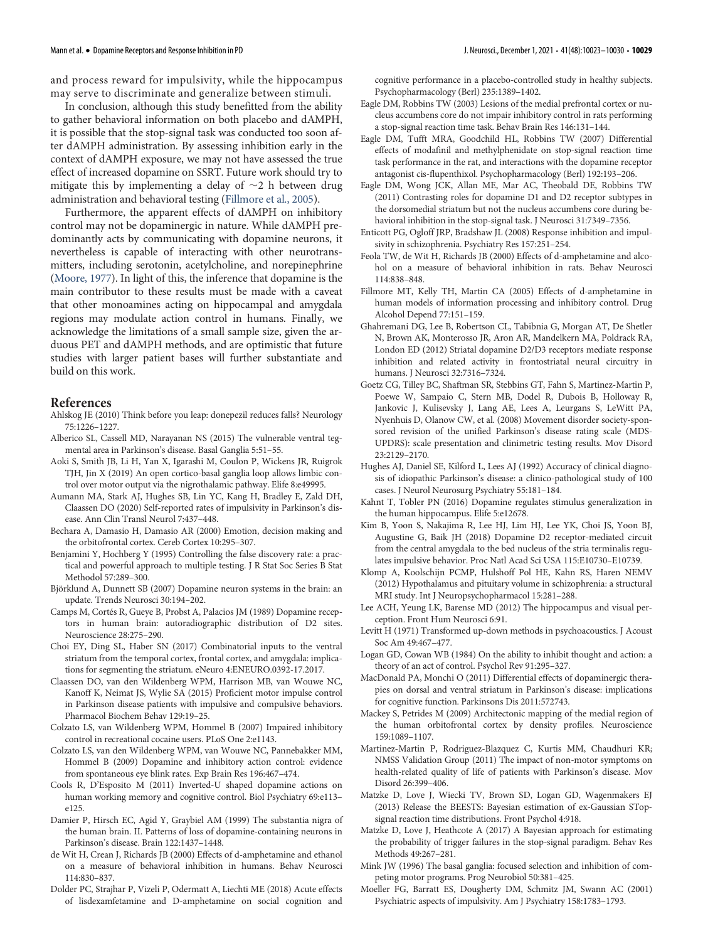and process reward for impulsivity, while the hippocampus may serve to discriminate and generalize between stimuli.

In conclusion, although this study benefitted from the ability to gather behavioral information on both placebo and dAMPH, it is possible that the stop-signal task was conducted too soon after dAMPH administration. By assessing inhibition early in the context of dAMPH exposure, we may not have assessed the true effect of increased dopamine on SSRT. Future work should try to mitigate this by implementing a delay of  $\sim$ 2 h between drug administration and behavioral testing [\(Fillmore et al., 2005](#page-6-37)).

Furthermore, the apparent effects of dAMPH on inhibitory control may not be dopaminergic in nature. While dAMPH predominantly acts by communicating with dopamine neurons, it nevertheless is capable of interacting with other neurotransmitters, including serotonin, acetylcholine, and norepinephrine [\(Moore, 1977\)](#page-7-13). In light of this, the inference that dopamine is the main contributor to these results must be made with a caveat that other monoamines acting on hippocampal and amygdala regions may modulate action control in humans. Finally, we acknowledge the limitations of a small sample size, given the arduous PET and dAMPH methods, and are optimistic that future studies with larger patient bases will further substantiate and build on this work.

## References

- <span id="page-6-1"></span>Ahlskog JE (2010) Think before you leap: donepezil reduces falls? Neurology 75:1226–1227.
- <span id="page-6-25"></span>Alberico SL, Cassell MD, Narayanan NS (2015) The vulnerable ventral tegmental area in Parkinson's disease. Basal Ganglia 5:51–55.
- <span id="page-6-26"></span>Aoki S, Smith JB, Li H, Yan X, Igarashi M, Coulon P, Wickens JR, Ruigrok TJH, Jin X (2019) An open cortico-basal ganglia loop allows limbic control over motor output via the nigrothalamic pathway. Elife 8:e49995.
- <span id="page-6-12"></span>Aumann MA, Stark AJ, Hughes SB, Lin YC, Kang H, Bradley E, Zald DH, Claassen DO (2020) Self-reported rates of impulsivity in Parkinson's disease. Ann Clin Transl Neurol 7:437–448.
- <span id="page-6-2"></span>Bechara A, Damasio H, Damasio AR (2000) Emotion, decision making and the orbitofrontal cortex. Cereb Cortex 10:295–307.
- <span id="page-6-21"></span>Benjamini Y, Hochberg Y (1995) Controlling the false discovery rate: a practical and powerful approach to multiple testing. J R Stat Soc Series B Stat Methodol 57:289–300.
- <span id="page-6-23"></span>Björklund A, Dunnett SB (2007) Dopamine neuron systems in the brain: an update. Trends Neurosci 30:194–202.
- <span id="page-6-18"></span>Camps M, Cortés R, Gueye B, Probst A, Palacios JM (1989) Dopamine receptors in human brain: autoradiographic distribution of D2 sites. Neuroscience 28:275–290.
- <span id="page-6-27"></span>Choi EY, Ding SL, Haber SN (2017) Combinatorial inputs to the ventral striatum from the temporal cortex, frontal cortex, and amygdala: implications for segmenting the striatum. eNeuro 4:ENEURO.0392-17.2017.
- <span id="page-6-11"></span>Claassen DO, van den Wildenberg WPM, Harrison MB, van Wouwe NC, Kanoff K, Neimat JS, Wylie SA (2015) Proficient motor impulse control in Parkinson disease patients with impulsive and compulsive behaviors. Pharmacol Biochem Behav 129:19–25.
- <span id="page-6-5"></span>Colzato LS, van Wildenberg WPM, Hommel B (2007) Impaired inhibitory control in recreational cocaine users. PLoS One 2:e1143.
- <span id="page-6-7"></span>Colzato LS, van den Wildenberg WPM, van Wouwe NC, Pannebakker MM, Hommel B (2009) Dopamine and inhibitory action control: evidence from spontaneous eye blink rates. Exp Brain Res 196:467–474.
- <span id="page-6-33"></span>Cools R, D'Esposito M (2011) Inverted-U shaped dopamine actions on human working memory and cognitive control. Biol Psychiatry 69:e113– e125.
- <span id="page-6-22"></span>Damier P, Hirsch EC, Agid Y, Graybiel AM (1999) The substantia nigra of the human brain. II. Patterns of loss of dopamine-containing neurons in Parkinson's disease. Brain 122:1437–1448.
- <span id="page-6-31"></span>de Wit H, Crean J, Richards JB (2000) Effects of d-amphetamine and ethanol on a measure of behavioral inhibition in humans. Behav Neurosci 114:830–837.
- <span id="page-6-32"></span>Dolder PC, Strajhar P, Vizeli P, Odermatt A, Liechti ME (2018) Acute effects of lisdexamfetamine and D-amphetamine on social cognition and

cognitive performance in a placebo-controlled study in healthy subjects. Psychopharmacology (Berl) 235:1389–1402.

- <span id="page-6-29"></span>Eagle DM, Robbins TW (2003) Lesions of the medial prefrontal cortex or nucleus accumbens core do not impair inhibitory control in rats performing a stop-signal reaction time task. Behav Brain Res 146:131–144.
- <span id="page-6-30"></span>Eagle DM, Tufft MRA, Goodchild HL, Robbins TW (2007) Differential effects of modafinil and methylphenidate on stop-signal reaction time task performance in the rat, and interactions with the dopamine receptor antagonist cis-flupenthixol. Psychopharmacology (Berl) 192:193–206.
- <span id="page-6-8"></span>Eagle DM, Wong JCK, Allan ME, Mar AC, Theobald DE, Robbins TW (2011) Contrasting roles for dopamine D1 and D2 receptor subtypes in the dorsomedial striatum but not the nucleus accumbens core during behavioral inhibition in the stop-signal task. J Neurosci 31:7349–7356.
- <span id="page-6-6"></span>Enticott PG, Ogloff JRP, Bradshaw JL (2008) Response inhibition and impulsivity in schizophrenia. Psychiatry Res 157:251–254.
- <span id="page-6-28"></span>Feola TW, de Wit H, Richards JB (2000) Effects of d-amphetamine and alcohol on a measure of behavioral inhibition in rats. Behav Neurosci 114:838–848.
- <span id="page-6-37"></span>Fillmore MT, Kelly TH, Martin CA (2005) Effects of d-amphetamine in human models of information processing and inhibitory control. Drug Alcohol Depend 77:151–159.
- <span id="page-6-9"></span>Ghahremani DG, Lee B, Robertson CL, Tabibnia G, Morgan AT, De Shetler N, Brown AK, Monterosso JR, Aron AR, Mandelkern MA, Poldrack RA, London ED (2012) Striatal dopamine D2/D3 receptors mediate response inhibition and related activity in frontostriatal neural circuitry in humans. J Neurosci 32:7316–7324.
- <span id="page-6-14"></span>Goetz CG, Tilley BC, Shaftman SR, Stebbins GT, Fahn S, Martinez-Martin P, Poewe W, Sampaio C, Stern MB, Dodel R, Dubois B, Holloway R, Jankovic J, Kulisevsky J, Lang AE, Lees A, Leurgans S, LeWitt PA, Nyenhuis D, Olanow CW, et al. (2008) Movement disorder society-sponsored revision of the unified Parkinson's disease rating scale (MDS-UPDRS): scale presentation and clinimetric testing results. Mov Disord 23:2129–2170.
- <span id="page-6-13"></span>Hughes AJ, Daniel SE, Kilford L, Lees AJ (1992) Accuracy of clinical diagnosis of idiopathic Parkinson's disease: a clinico-pathological study of 100 cases. J Neurol Neurosurg Psychiatry 55:181–184.
- <span id="page-6-34"></span>Kahnt T, Tobler PN (2016) Dopamine regulates stimulus generalization in the human hippocampus. Elife 5:e12678.
- <span id="page-6-36"></span>Kim B, Yoon S, Nakajima R, Lee HJ, Lim HJ, Lee YK, Choi JS, Yoon BJ, Augustine G, Baik JH (2018) Dopamine D2 receptor-mediated circuit from the central amygdala to the bed nucleus of the stria terminalis regulates impulsive behavior. Proc Natl Acad Sci USA 115:E10730–E10739.
- <span id="page-6-20"></span>Klomp A, Koolschijn PCMP, Hulshoff Pol HE, Kahn RS, Haren NEMV (2012) Hypothalamus and pituitary volume in schizophrenia: a structural MRI study. Int J Neuropsychopharmacol 15:281–288.
- <span id="page-6-35"></span>Lee ACH, Yeung LK, Barense MD (2012) The hippocampus and visual perception. Front Hum Neurosci 6:91.
- <span id="page-6-15"></span>Levitt H (1971) Transformed up-down methods in psychoacoustics. J Acoust Soc Am 49:467–477.
- <span id="page-6-3"></span>Logan GD, Cowan WB (1984) On the ability to inhibit thought and action: a theory of an act of control. Psychol Rev 91:295–327.
- <span id="page-6-24"></span>MacDonald PA, Monchi O (2011) Differential effects of dopaminergic therapies on dorsal and ventral striatum in Parkinson's disease: implications for cognitive function. Parkinsons Dis 2011:572743.
- <span id="page-6-19"></span>Mackey S, Petrides M (2009) Architectonic mapping of the medial region of the human orbitofrontal cortex by density profiles. Neuroscience 159:1089–1107.
- <span id="page-6-0"></span>Martinez-Martin P, Rodriguez-Blazquez C, Kurtis MM, Chaudhuri KR; NMSS Validation Group (2011) The impact of non-motor symptoms on health-related quality of life of patients with Parkinson's disease. Mov Disord 26:399–406.
- <span id="page-6-16"></span>Matzke D, Love J, Wiecki TV, Brown SD, Logan GD, Wagenmakers EJ (2013) Release the BEESTS: Bayesian estimation of ex-Gaussian STopsignal reaction time distributions. Front Psychol 4:918.
- <span id="page-6-17"></span>Matzke D, Love J, Heathcote A (2017) A Bayesian approach for estimating the probability of trigger failures in the stop-signal paradigm. Behav Res Methods 49:267–281.
- <span id="page-6-4"></span>Mink JW (1996) The basal ganglia: focused selection and inhibition of competing motor programs. Prog Neurobiol 50:381–425.
- <span id="page-6-10"></span>Moeller FG, Barratt ES, Dougherty DM, Schmitz JM, Swann AC (2001) Psychiatric aspects of impulsivity. Am J Psychiatry 158:1783–1793.